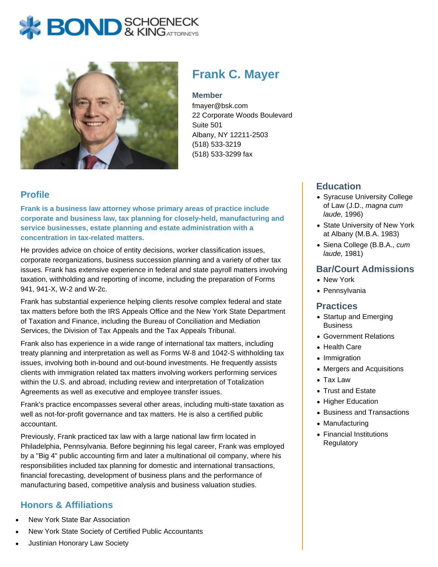# **BOND** & KING ATTORNECK



# **Frank C. Mayer**

#### **Member**

fmayer@bsk.com 22 Corporate Woods Boulevard Suite 501 Albany, NY 12211-2503 (518) 533-3219 (518) 533-3299 fax

## **Profile**

**Frank is a business law attorney whose primary areas of practice include corporate and business law, tax planning for closely-held, manufacturing and service businesses, estate planning and estate administration with a concentration in tax-related matters.**

He provides advice on choice of entity decisions, worker classification issues, corporate reorganizations, business succession planning and a variety of other tax issues. Frank has extensive experience in federal and state payroll matters involving taxation, withholding and reporting of income, including the preparation of Forms 941, 941-X, W-2 and W-2c.

Frank has substantial experience helping clients resolve complex federal and state tax matters before both the IRS Appeals Office and the New York State Department of Taxation and Finance, including the Bureau of Conciliation and Mediation Services, the Division of Tax Appeals and the Tax Appeals Tribunal.

Frank also has experience in a wide range of international tax matters, including treaty planning and interpretation as well as Forms W-8 and 1042-S withholding tax issues, involving both in-bound and out-bound investments. He frequently assists clients with immigration related tax matters involving workers performing services within the U.S. and abroad, including review and interpretation of Totalization Agreements as well as executive and employee transfer issues.

Frank's practice encompasses several other areas, including multi-state taxation as well as not-for-profit governance and tax matters. He is also a certified public accountant.

Previously, Frank practiced tax law with a large national law firm located in Philadelphia, Pennsylvania. Before beginning his legal career, Frank was employed by a "Big 4" public accounting firm and later a multinational oil company, where his responsibilities included tax planning for domestic and international transactions, financial forecasting, development of business plans and the performance of manufacturing based, competitive analysis and business valuation studies.

# **Honors & Affiliations**

- New York State Bar Association
- New York State Society of Certified Public Accountants

#### Justinian Honorary Law Society

## **Education**

- Syracuse University College of Law (J.D., magna cum laude, 1996)
- State University of New York at Albany (M.B.A. 1983)
- Siena College (B.B.A., cum laude, 1981)

#### **Bar/Court Admissions**

- New York
- Pennsylvania

#### **Practices**

- Startup and Emerging **Business**
- Government Relations
- Health Care
- Immigration
- Mergers and Acquisitions
- Tax Law
- Trust and Estate
- Higher Education
- Business and Transactions
- Manufacturing
- Financial Institutions **Regulatory**